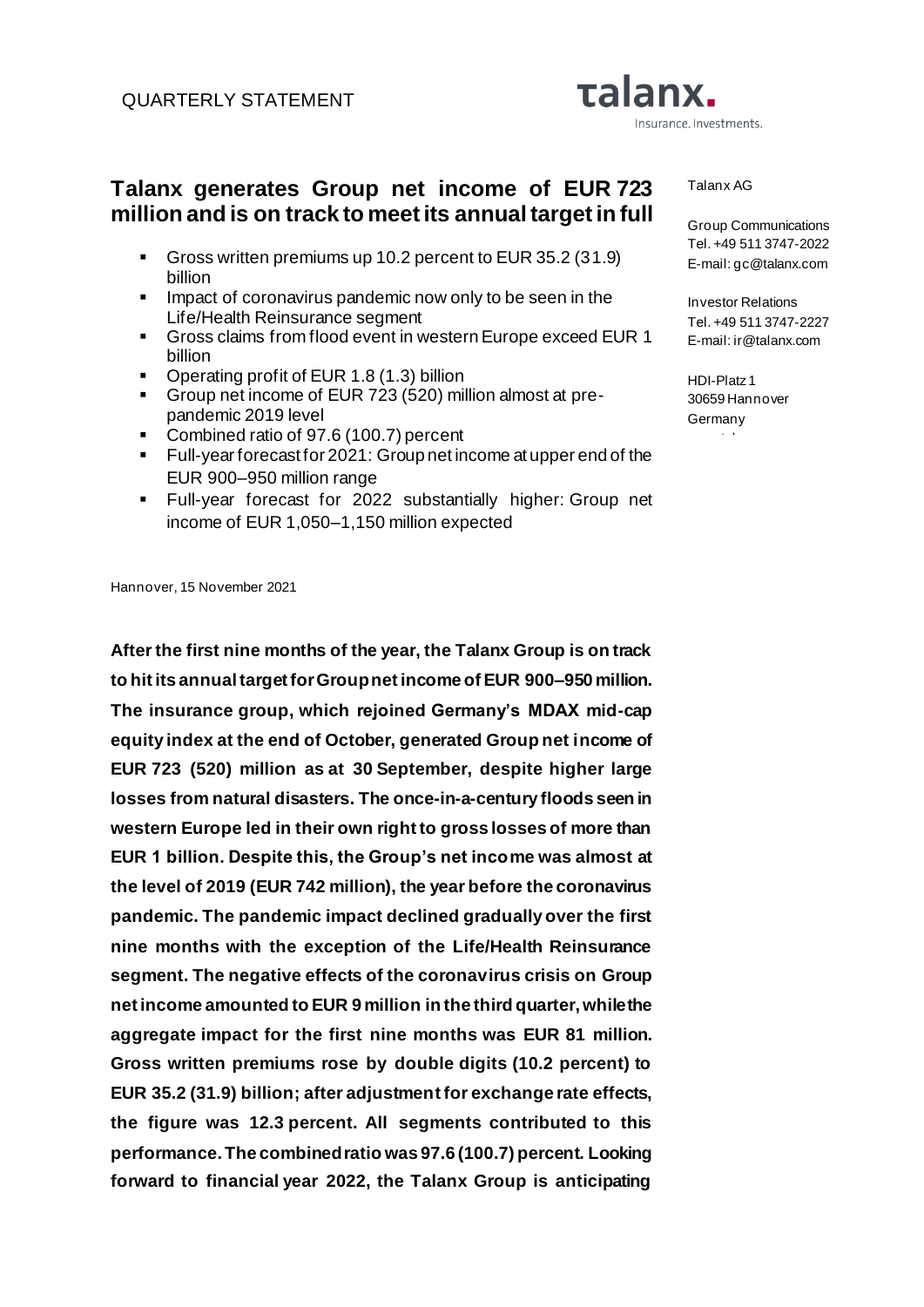# **Talanx generates Group net income of EUR 723 million and is on track to meet its annual target in full**

- Gross written premiums up 10.2 percent to EUR 35.2 (31.9) billion
- **•** Impact of coronavirus pandemic now only to be seen in the Life/Health Reinsurance segment
- Gross claims from flood event in western Europe exceed EUR 1 billion
- Operating profit of EUR 1.8 (1.3) billion
- Group net income of EUR 723 (520) million almost at prepandemic 2019 level
- Combined ratio of 97.6 (100.7) percent
- Full-year forecast for 2021: Group net income at upper end of the EUR 900–950 million range
- Full-year forecast for 2022 substantially higher: Group net income of EUR 1,050–1,150 million expected

Hannover, 15 November 2021

**After the first nine months of the year, the Talanx Group is on track to hit its annual target for Group net income of EUR 900–950 million. The insurance group, which rejoined Germany's MDAX mid-cap equity index at the end of October, generated Group net income of EUR 723 (520) million as at 30 September, despite higher large losses from natural disasters. The once-in-a-century floods seen in western Europe led in their own right to gross losses of more than EUR 1 billion. Despite this, the Group's net income was almost at the level of 2019 (EUR 742 million), the year before the coronavirus pandemic. The pandemic impact declined gradually over the first nine months with the exception of the Life/Health Reinsurance segment. The negative effects of the coronavirus crisis on Group net income amounted to EUR 9 million in the third quarter, while the aggregate impact for the first nine months was EUR 81 million. Gross written premiums rose by double digits (10.2 percent) to EUR 35.2 (31.9) billion; after adjustment for exchange rate effects, the figure was 12.3 percent. All segments contributed to this performance. The combined ratio was 97.6 (100.7) percent. Looking forward to financial year 2022, the Talanx Group is anticipating** 

Talanx AG

Insurance. Investments.

Talanx.

Group Communications Tel. +49 511 3747-2022 E-mail: gc@talanx.com

Investor Relations Tel. +49 511 3747-2227 E-mail: ir@talanx.com

HDI-Platz 1 30659 Hannover **Germany** 

www.talanx.com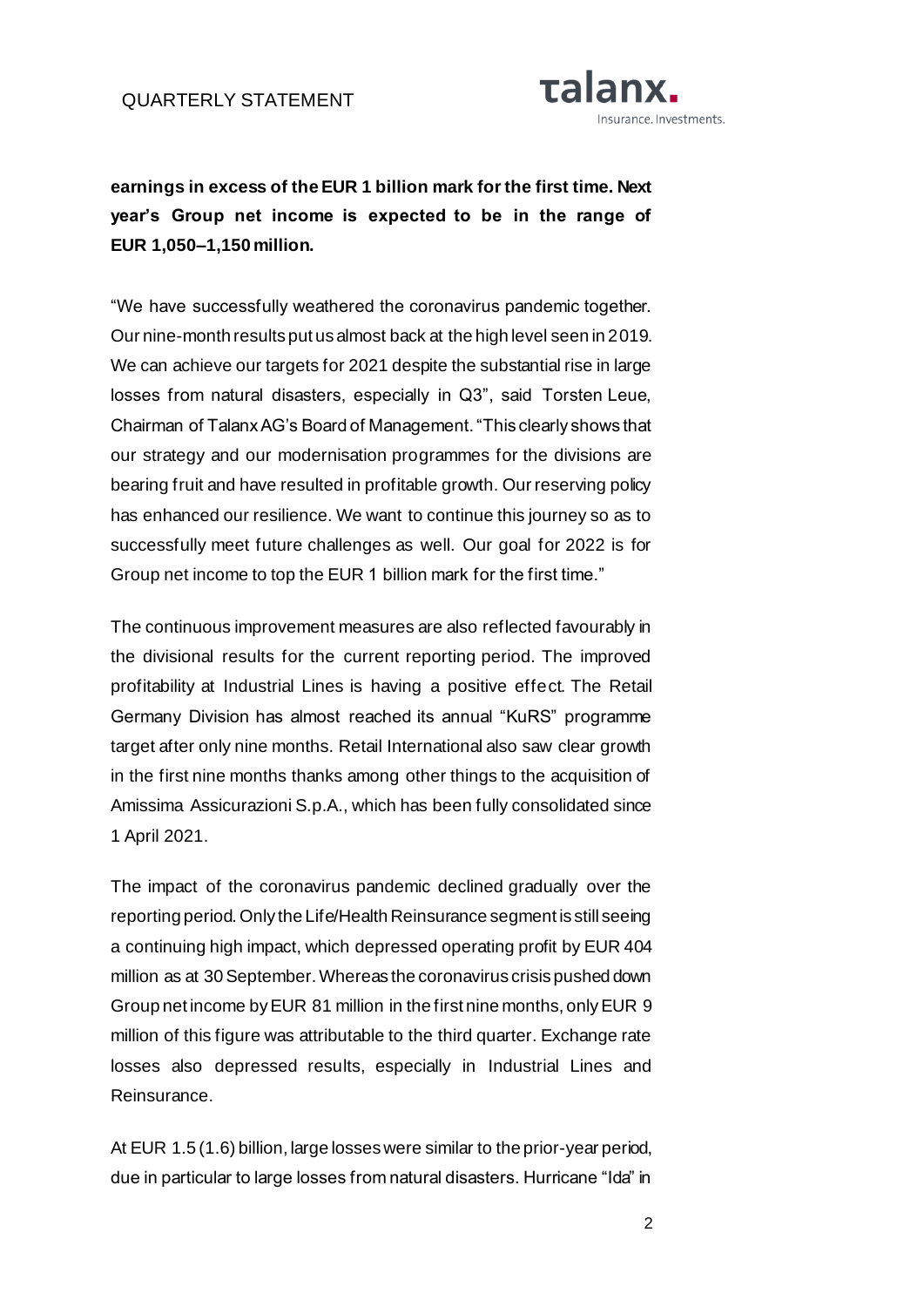

**earnings in excess of the EUR 1 billion mark for the first time. Next year's Group net income is expected to be in the range of EUR 1,050–1,150 million.** 

"We have successfully weathered the coronavirus pandemic together. Our nine-month results put us almost back at the high level seen in 2019. We can achieve our targets for 2021 despite the substantial rise in large losses from natural disasters, especially in Q3", said Torsten Leue, Chairman of Talanx AG's Board of Management. "This clearly shows that our strategy and our modernisation programmes for the divisions are bearing fruit and have resulted in profitable growth. Our reserving policy has enhanced our resilience. We want to continue this journey so as to successfully meet future challenges as well. Our goal for 2022 is for Group net income to top the EUR 1 billion mark for the first time."

The continuous improvement measures are also reflected favourably in the divisional results for the current reporting period. The improved profitability at Industrial Lines is having a positive effect. The Retail Germany Division has almost reached its annual "KuRS" programme target after only nine months. Retail International also saw clear growth in the first nine months thanks among other things to the acquisition of Amissima Assicurazioni S.p.A., which has been fully consolidated since 1 April 2021.

The impact of the coronavirus pandemic declined gradually over the reporting period. Only the Life/Health Reinsurance segment is still seeing a continuing high impact, which depressed operating profit by EUR 404 million as at 30 September. Whereas the coronavirus crisis pushed down Group net income by EUR 81 million in the first nine months, only EUR 9 million of this figure was attributable to the third quarter. Exchange rate losses also depressed results, especially in Industrial Lines and Reinsurance.

At EUR 1.5 (1.6) billion, large losses were similar to the prior-year period, due in particular to large losses from natural disasters. Hurricane "Ida" in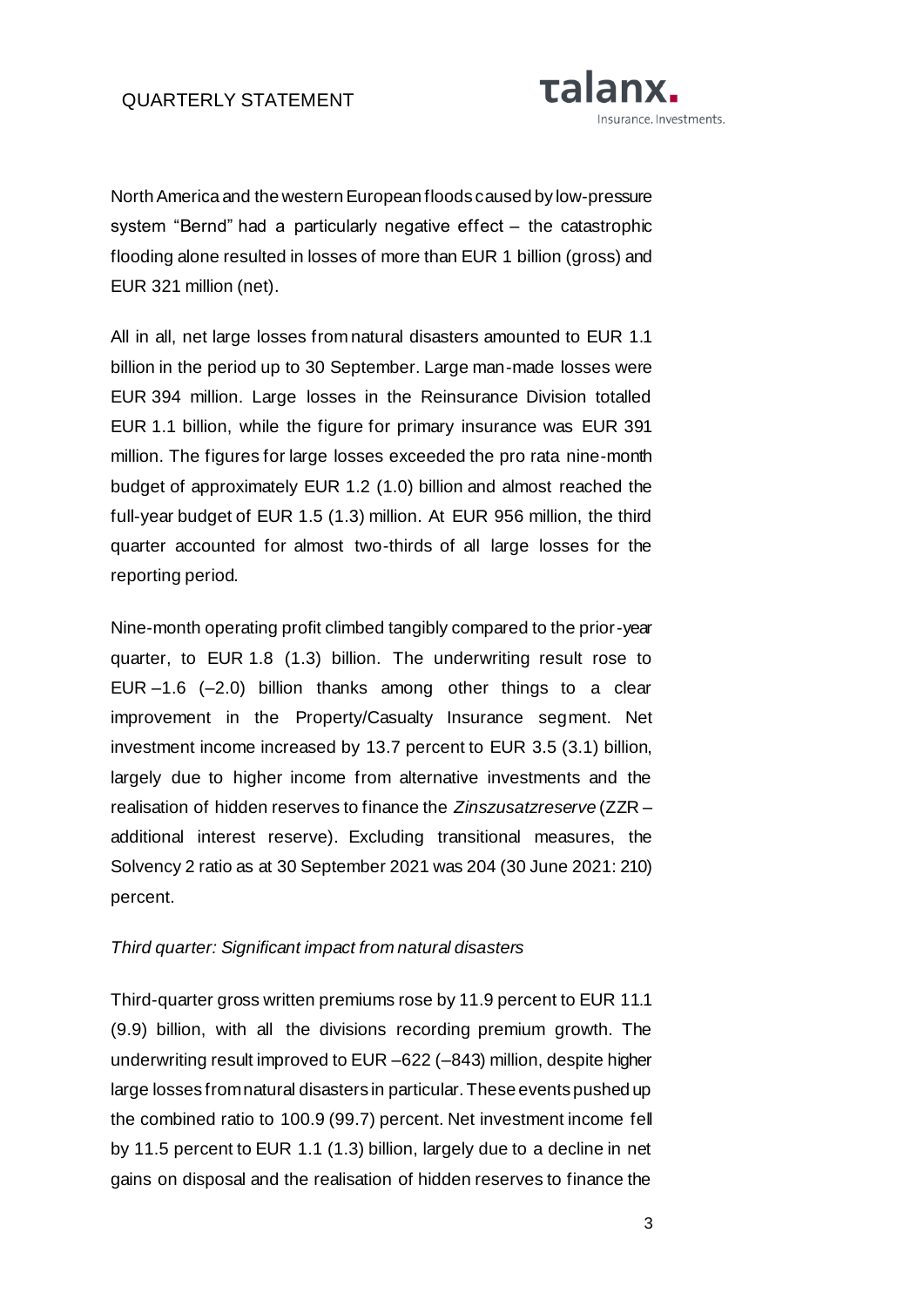

North America and the western European floods caused by low-pressure system "Bernd" had a particularly negative effect – the catastrophic flooding alone resulted in losses of more than EUR 1 billion (gross) and EUR 321 million (net).

All in all, net large losses from natural disasters amounted to EUR 1.1 billion in the period up to 30 September. Large man-made losses were EUR 394 million. Large losses in the Reinsurance Division totalled EUR 1.1 billion, while the figure for primary insurance was EUR 391 million. The figures for large losses exceeded the pro rata nine-month budget of approximately EUR 1.2 (1.0) billion and almost reached the full-year budget of EUR 1.5 (1.3) million. At EUR 956 million, the third quarter accounted for almost two-thirds of all large losses for the reporting period.

Nine-month operating profit climbed tangibly compared to the prior-year quarter, to EUR 1.8 (1.3) billion. The underwriting result rose to EUR –1.6 (–2.0) billion thanks among other things to a clear improvement in the Property/Casualty Insurance segment. Net investment income increased by 13.7 percent to EUR 3.5 (3.1) billion, largely due to higher income from alternative investments and the realisation of hidden reserves to finance the *Zinszusatzreserve* (ZZR – additional interest reserve). Excluding transitional measures, the Solvency 2 ratio as at 30 September 2021 was 204 (30 June 2021: 210) percent.

#### *Third quarter: Significant impact from natural disasters*

Third-quarter gross written premiums rose by 11.9 percent to EUR 11.1 (9.9) billion, with all the divisions recording premium growth. The underwriting result improved to EUR –622 (–843) million, despite higher large losses from natural disasters in particular. These events pushed up the combined ratio to 100.9 (99.7) percent. Net investment income fell by 11.5 percent to EUR 1.1 (1.3) billion, largely due to a decline in net gains on disposal and the realisation of hidden reserves to finance the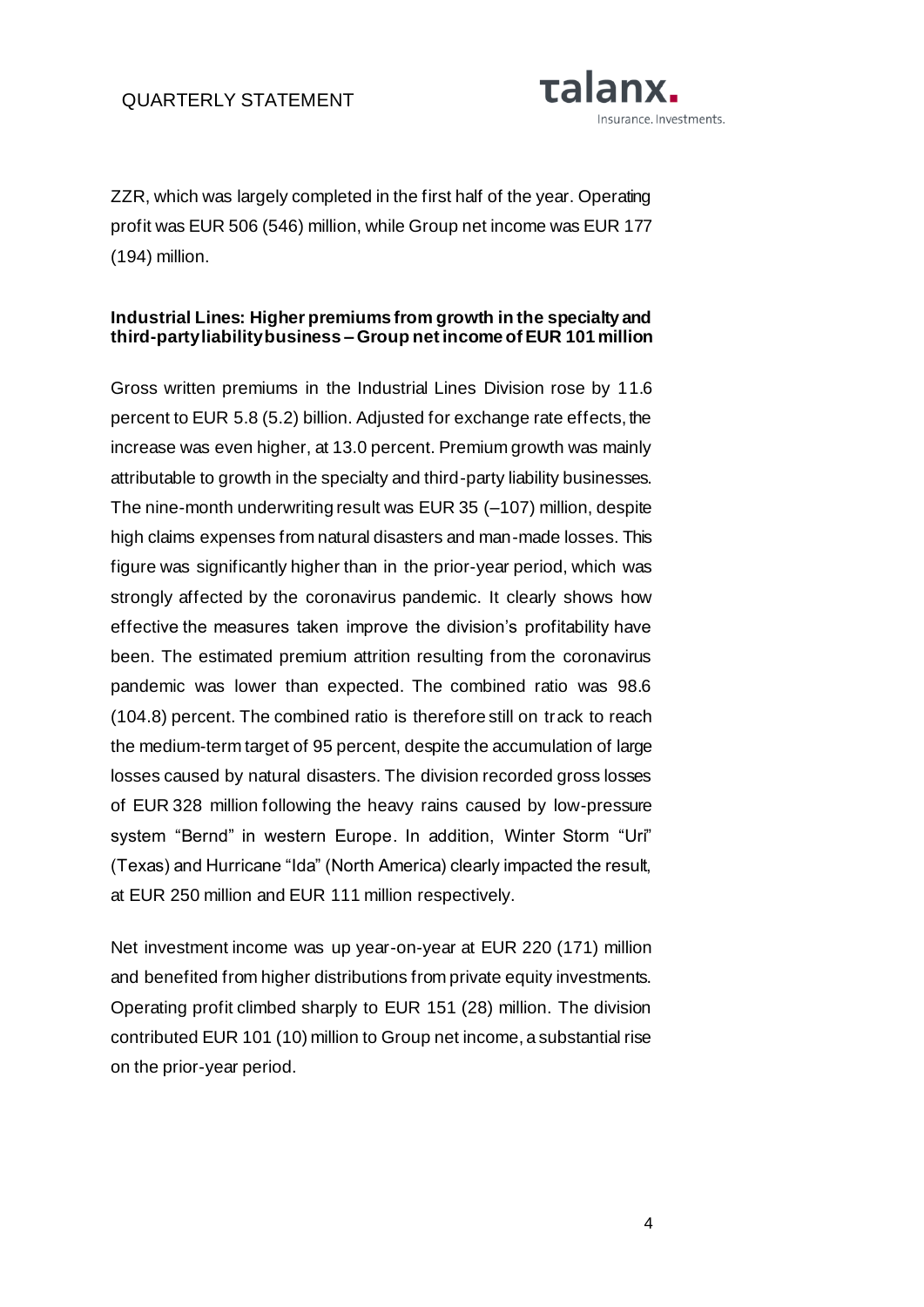

ZZR, which was largely completed in the first half of the year. Operating profit was EUR 506 (546) million, while Group net income was EUR 177 (194) million.

## **Industrial Lines: Higher premiums from growth in the specialty and third-party liability business – Group net income of EUR 101 million**

Gross written premiums in the Industrial Lines Division rose by 11.6 percent to EUR 5.8 (5.2) billion. Adjusted for exchange rate effects, the increase was even higher, at 13.0 percent. Premium growth was mainly attributable to growth in the specialty and third-party liability businesses. The nine-month underwriting result was EUR 35 (–107) million, despite high claims expenses from natural disasters and man-made losses. This figure was significantly higher than in the prior-year period, which was strongly affected by the coronavirus pandemic. It clearly shows how effective the measures taken improve the division's profitability have been. The estimated premium attrition resulting from the coronavirus pandemic was lower than expected. The combined ratio was 98.6 (104.8) percent. The combined ratio is therefore still on track to reach the medium-term target of 95 percent, despite the accumulation of large losses caused by natural disasters. The division recorded gross losses of EUR 328 million following the heavy rains caused by low-pressure system "Bernd" in western Europe. In addition, Winter Storm "Uri" (Texas) and Hurricane "Ida" (North America) clearly impacted the result, at EUR 250 million and EUR 111 million respectively.

Net investment income was up year-on-year at EUR 220 (171) million and benefited from higher distributions from private equity investments. Operating profit climbed sharply to EUR 151 (28) million. The division contributed EUR 101 (10) million to Group net income, a substantial rise on the prior-year period.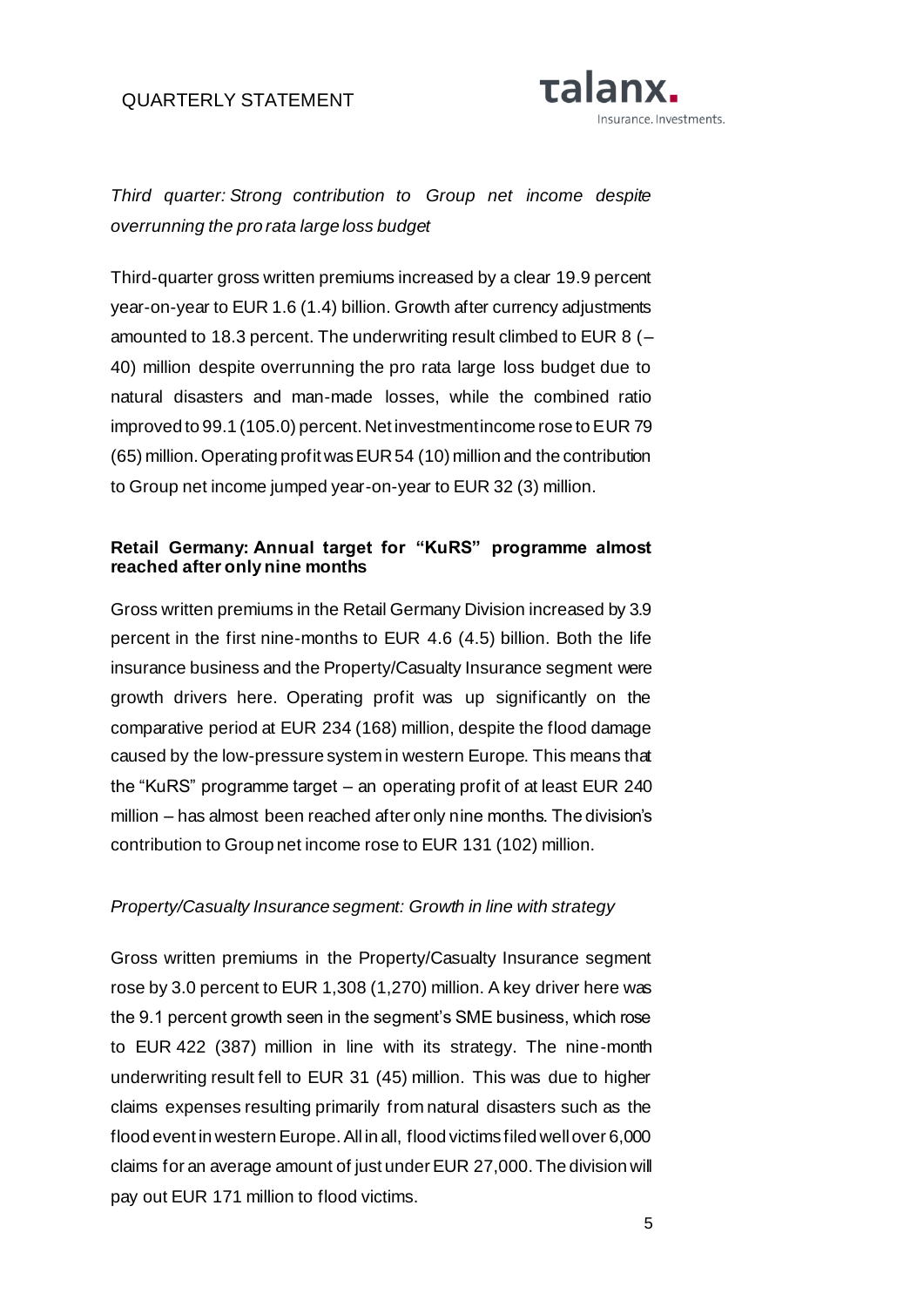

*Third quarter: Strong contribution to Group net income despite overrunning the pro rata large loss budget*

Third-quarter gross written premiums increased by a clear 19.9 percent year-on-year to EUR 1.6 (1.4) billion. Growth after currency adjustments amounted to 18.3 percent. The underwriting result climbed to EUR 8 (– 40) million despite overrunning the pro rata large loss budget due to natural disasters and man-made losses, while the combined ratio improved to 99.1 (105.0) percent. Net investment income rose to EUR 79 (65) million. Operating profit was EUR 54 (10) million and the contribution to Group net income jumped year-on-year to EUR 32 (3) million.

## **Retail Germany: Annual target for "KuRS" programme almost reached after only nine months**

Gross written premiums in the Retail Germany Division increased by 3.9 percent in the first nine-months to EUR 4.6 (4.5) billion. Both the life insurance business and the Property/Casualty Insurance segment were growth drivers here. Operating profit was up significantly on the comparative period at EUR 234 (168) million, despite the flood damage caused by the low-pressure system in western Europe. This means that the "KuRS" programme target – an operating profit of at least EUR 240 million – has almost been reached after only nine months. The division's contribution to Group net income rose to EUR 131 (102) million.

#### *Property/Casualty Insurance segment: Growth in line with strategy*

Gross written premiums in the Property/Casualty Insurance segment rose by 3.0 percent to EUR 1,308 (1,270) million. A key driver here was the 9.1 percent growth seen in the segment's SME business, which rose to EUR 422 (387) million in line with its strategy. The nine-month underwriting result fell to EUR 31 (45) million. This was due to higher claims expenses resulting primarily from natural disasters such as the flood event in western Europe. All in all, flood victims filed well over 6,000 claims for an average amount of just under EUR 27,000. The division will pay out EUR 171 million to flood victims.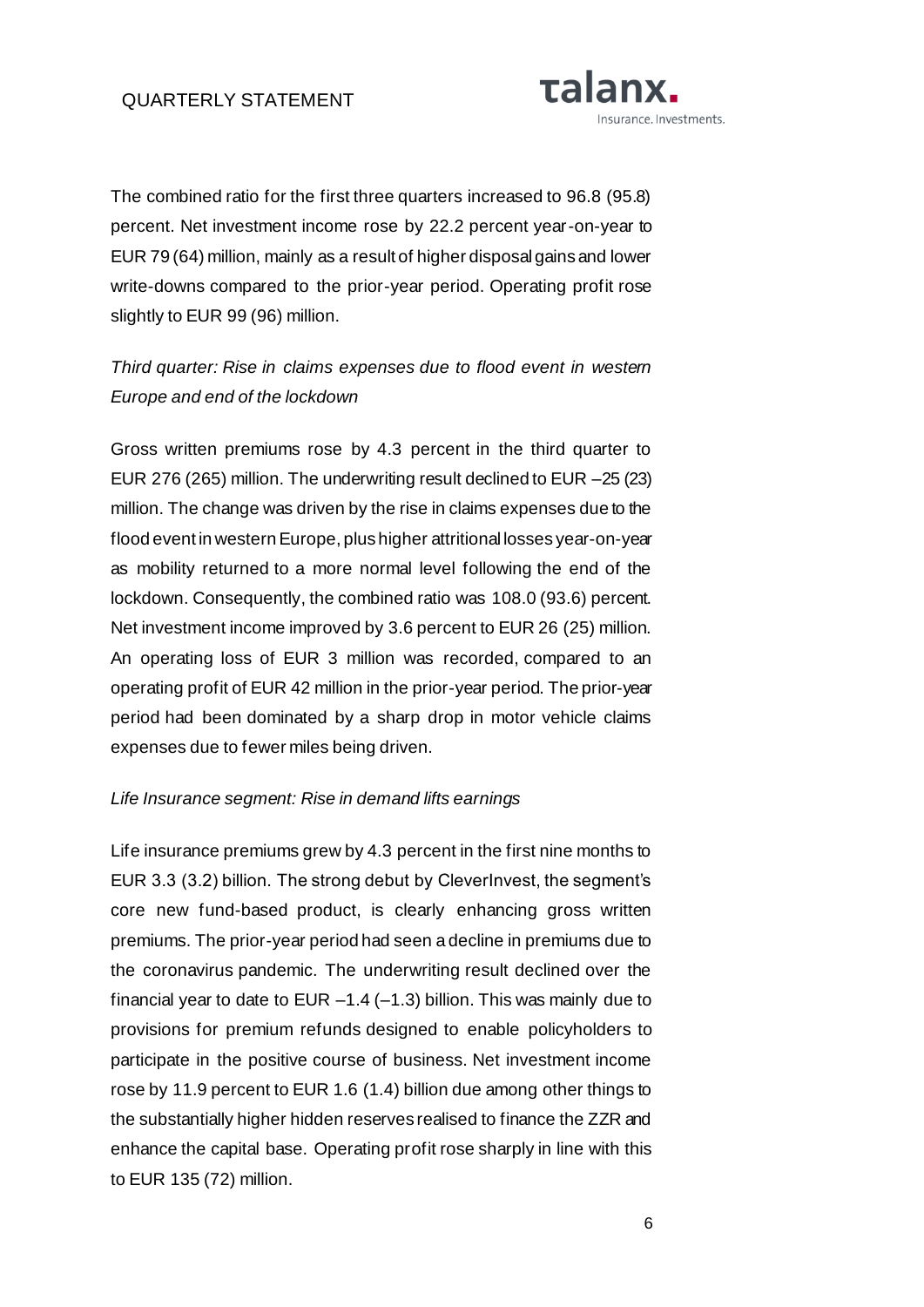

The combined ratio for the first three quarters increased to 96.8 (95.8) percent. Net investment income rose by 22.2 percent year-on-year to EUR 79 (64) million, mainly as a result of higher disposal gains and lower write-downs compared to the prior-year period. Operating profit rose slightly to EUR 99 (96) million.

*Third quarter: Rise in claims expenses due to flood event in western Europe and end of the lockdown*

Gross written premiums rose by 4.3 percent in the third quarter to EUR 276 (265) million. The underwriting result declined to EUR –25 (23) million. The change was driven by the rise in claims expenses due to the flood event in western Europe, plus higher attritional losses year-on-year as mobility returned to a more normal level following the end of the lockdown. Consequently, the combined ratio was 108.0 (93.6) percent. Net investment income improved by 3.6 percent to EUR 26 (25) million. An operating loss of EUR 3 million was recorded, compared to an operating profit of EUR 42 million in the prior-year period. The prior-year period had been dominated by a sharp drop in motor vehicle claims expenses due to fewer miles being driven.

#### *Life Insurance segment: Rise in demand lifts earnings*

Life insurance premiums grew by 4.3 percent in the first nine months to EUR 3.3 (3.2) billion. The strong debut by CleverInvest, the segment's core new fund-based product, is clearly enhancing gross written premiums. The prior-year period had seen a decline in premiums due to the coronavirus pandemic. The underwriting result declined over the financial year to date to EUR  $-1.4$  ( $-1.3$ ) billion. This was mainly due to provisions for premium refunds designed to enable policyholders to participate in the positive course of business. Net investment income rose by 11.9 percent to EUR 1.6 (1.4) billion due among other things to the substantially higher hidden reserves realised to finance the ZZR and enhance the capital base. Operating profit rose sharply in line with this to EUR 135 (72) million.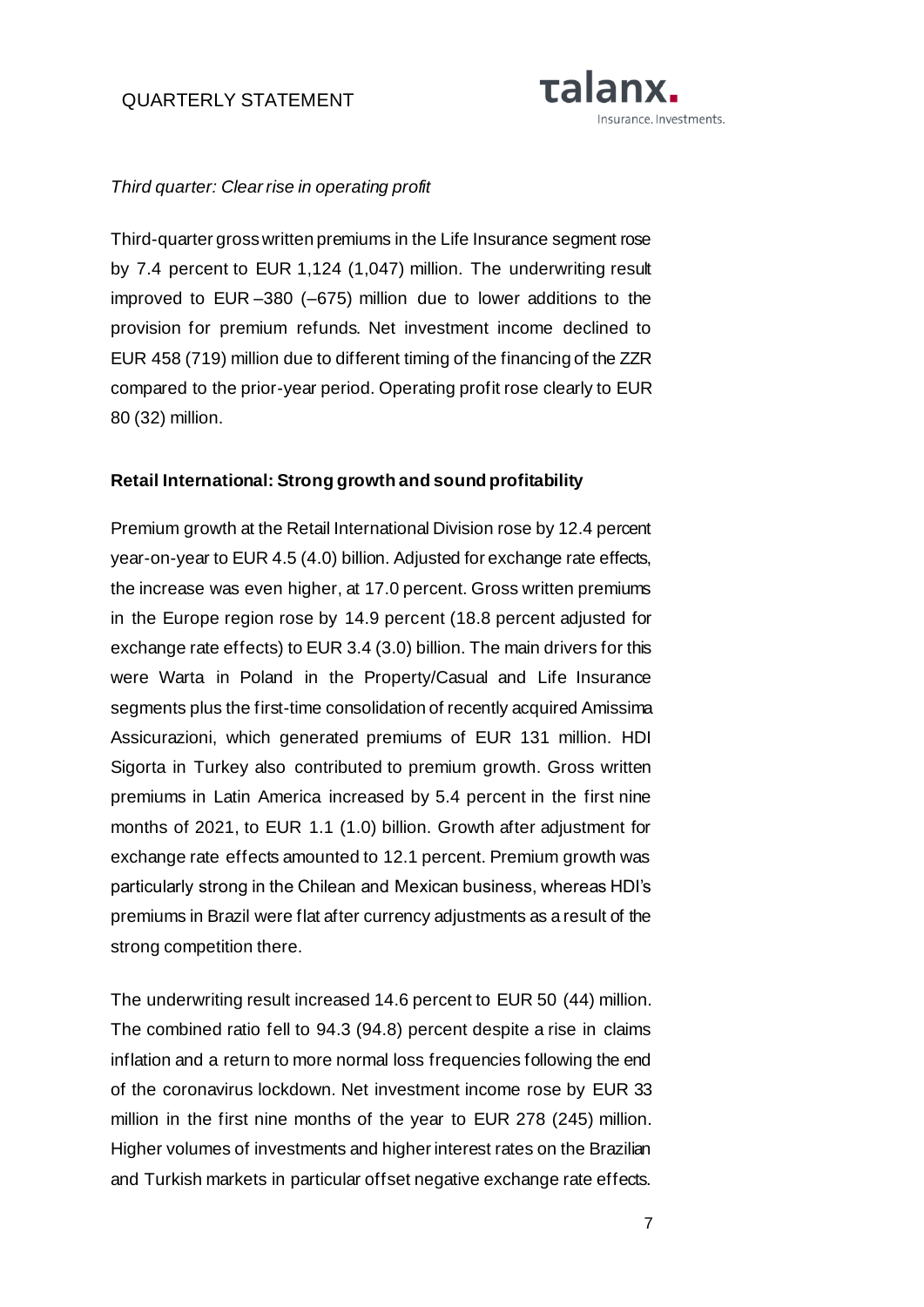

#### *Third quarter: Clear rise in operating profit*

Third-quarter gross written premiums in the Life Insurance segment rose by 7.4 percent to EUR 1,124 (1,047) million. The underwriting result improved to EUR –380 (–675) million due to lower additions to the provision for premium refunds. Net investment income declined to EUR 458 (719) million due to different timing of the financing of the ZZR compared to the prior-year period. Operating profit rose clearly to EUR 80 (32) million.

#### **Retail International: Strong growth and sound profitability**

Premium growth at the Retail International Division rose by 12.4 percent year-on-year to EUR 4.5 (4.0) billion. Adjusted for exchange rate effects, the increase was even higher, at 17.0 percent. Gross written premiums in the Europe region rose by 14.9 percent (18.8 percent adjusted for exchange rate effects) to EUR 3.4 (3.0) billion. The main drivers for this were Warta in Poland in the Property/Casual and Life Insurance segments plus the first-time consolidation of recently acquired Amissima Assicurazioni, which generated premiums of EUR 131 million. HDI Sigorta in Turkey also contributed to premium growth. Gross written premiums in Latin America increased by 5.4 percent in the first nine months of 2021, to EUR 1.1 (1.0) billion. Growth after adjustment for exchange rate effects amounted to 12.1 percent. Premium growth was particularly strong in the Chilean and Mexican business, whereas HDI's premiums in Brazil were flat after currency adjustments as a result of the strong competition there.

The underwriting result increased 14.6 percent to EUR 50 (44) million. The combined ratio fell to 94.3 (94.8) percent despite a rise in claims inflation and a return to more normal loss frequencies following the end of the coronavirus lockdown. Net investment income rose by EUR 33 million in the first nine months of the year to EUR 278 (245) million. Higher volumes of investments and higher interest rates on the Brazilian and Turkish markets in particular offset negative exchange rate effects.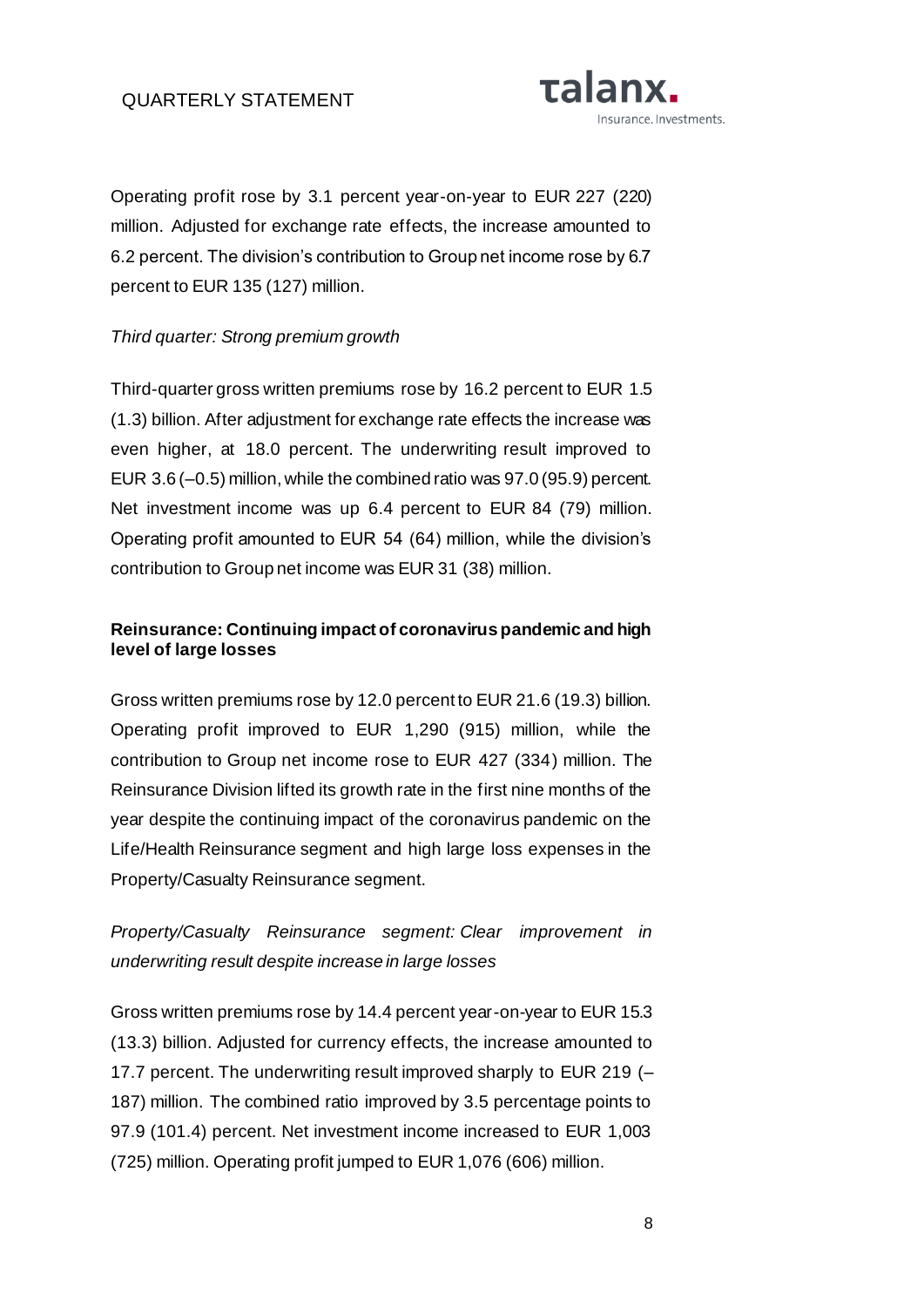

Operating profit rose by 3.1 percent year-on-year to EUR 227 (220) million. Adjusted for exchange rate effects, the increase amounted to 6.2 percent. The division's contribution to Group net income rose by 6.7 percent to EUR 135 (127) million.

### *Third quarter: Strong premium growth*

Third-quarter gross written premiums rose by 16.2 percent to EUR 1.5 (1.3) billion. After adjustment for exchange rate effects the increase was even higher, at 18.0 percent. The underwriting result improved to EUR 3.6 (–0.5) million, while the combined ratio was 97.0 (95.9) percent. Net investment income was up 6.4 percent to EUR 84 (79) million. Operating profit amounted to EUR 54 (64) million, while the division's contribution to Group net income was EUR 31 (38) million.

# **Reinsurance: Continuing impact of coronavirus pandemic and high level of large losses**

Gross written premiums rose by 12.0 percent to EUR 21.6 (19.3) billion. Operating profit improved to EUR 1,290 (915) million, while the contribution to Group net income rose to EUR 427 (334) million. The Reinsurance Division lifted its growth rate in the first nine months of the year despite the continuing impact of the coronavirus pandemic on the Life/Health Reinsurance segment and high large loss expenses in the Property/Casualty Reinsurance segment.

*Property/Casualty Reinsurance segment: Clear improvement in underwriting result despite increase in large losses*

Gross written premiums rose by 14.4 percent year-on-year to EUR 15.3 (13.3) billion. Adjusted for currency effects, the increase amounted to 17.7 percent. The underwriting result improved sharply to EUR 219 (– 187) million. The combined ratio improved by 3.5 percentage points to 97.9 (101.4) percent. Net investment income increased to EUR 1,003 (725) million. Operating profit jumped to EUR 1,076 (606) million.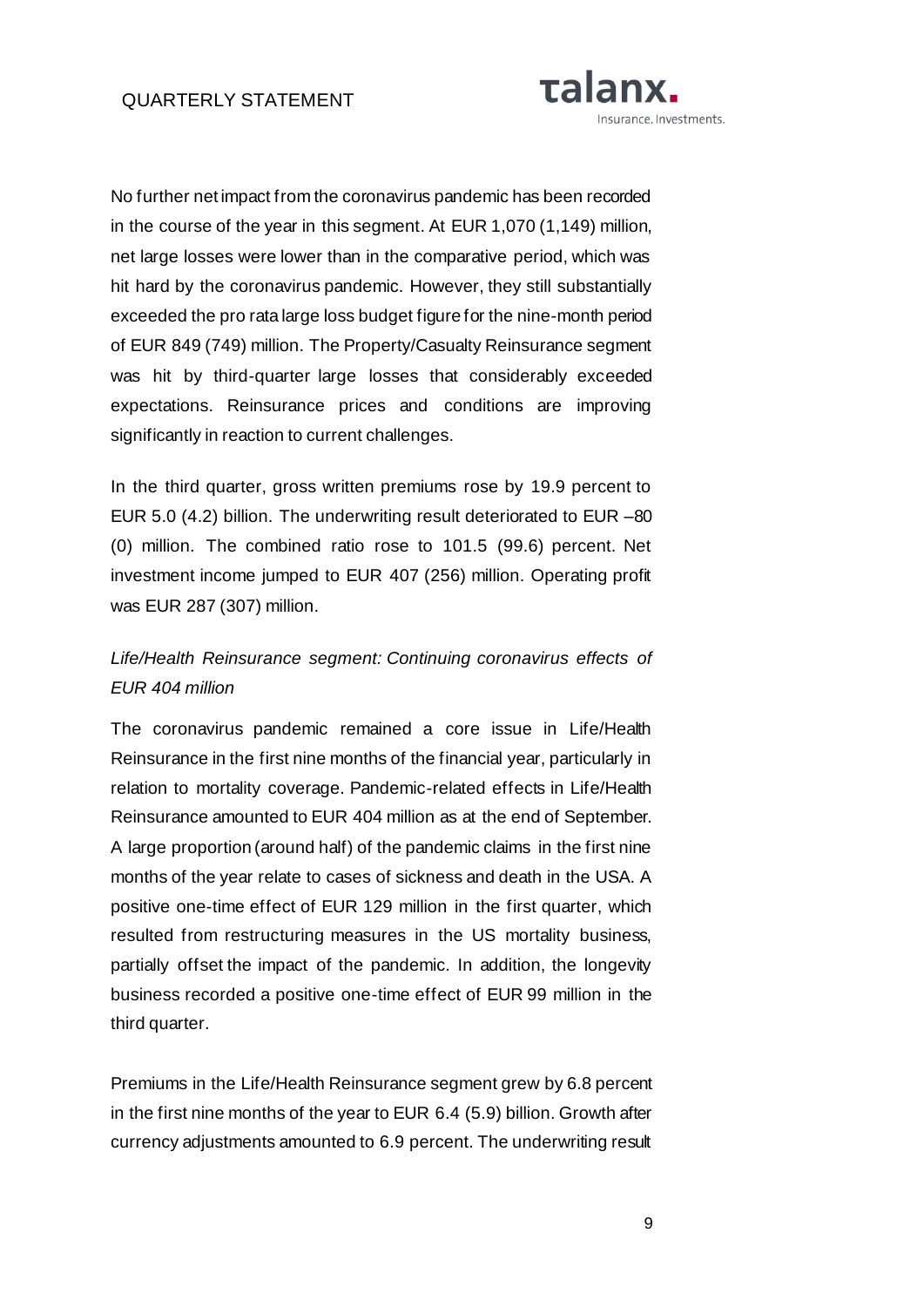

No further net impact from the coronavirus pandemic has been recorded in the course of the year in this segment. At EUR 1,070 (1,149) million, net large losses were lower than in the comparative period, which was hit hard by the coronavirus pandemic. However, they still substantially exceeded the pro rata large loss budget figure for the nine-month period of EUR 849 (749) million. The Property/Casualty Reinsurance segment was hit by third-quarter large losses that considerably exceeded expectations. Reinsurance prices and conditions are improving significantly in reaction to current challenges.

In the third quarter, gross written premiums rose by 19.9 percent to EUR 5.0 (4.2) billion. The underwriting result deteriorated to EUR –80 (0) million. The combined ratio rose to 101.5 (99.6) percent. Net investment income jumped to EUR 407 (256) million. Operating profit was EUR 287 (307) million.

# *Life/Health Reinsurance segment: Continuing coronavirus effects of EUR 404 million*

The coronavirus pandemic remained a core issue in Life/Health Reinsurance in the first nine months of the financial year, particularly in relation to mortality coverage. Pandemic-related effects in Life/Health Reinsurance amounted to EUR 404 million as at the end of September. A large proportion (around half) of the pandemic claims in the first nine months of the year relate to cases of sickness and death in the USA. A positive one-time effect of EUR 129 million in the first quarter, which resulted from restructuring measures in the US mortality business, partially offset the impact of the pandemic. In addition, the longevity business recorded a positive one-time effect of EUR 99 million in the third quarter.

Premiums in the Life/Health Reinsurance segment grew by 6.8 percent in the first nine months of the year to EUR 6.4 (5.9) billion. Growth after currency adjustments amounted to 6.9 percent. The underwriting result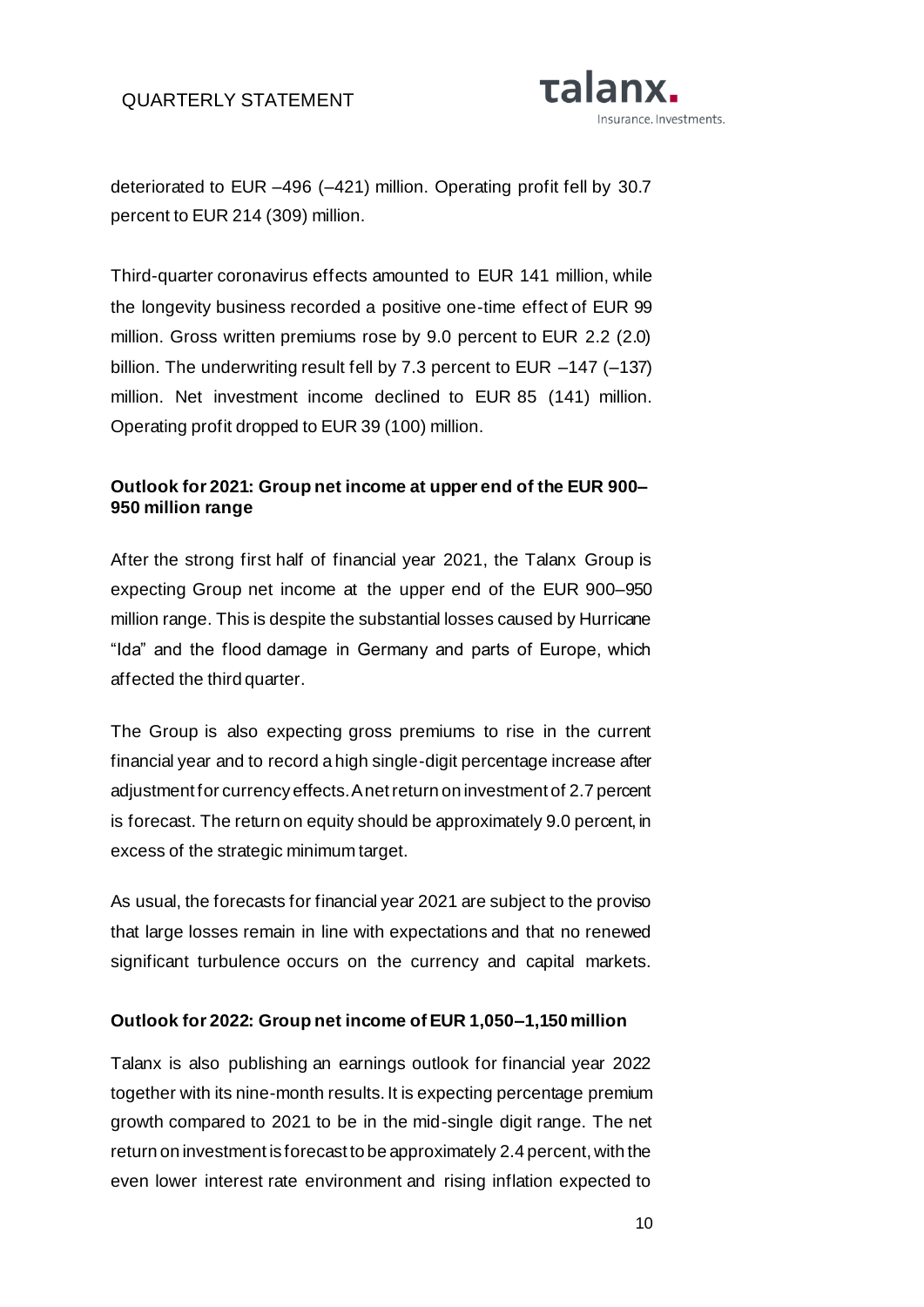

deteriorated to EUR –496 (–421) million. Operating profit fell by 30.7 percent to EUR 214 (309) million.

Third-quarter coronavirus effects amounted to EUR 141 million, while the longevity business recorded a positive one-time effect of EUR 99 million. Gross written premiums rose by 9.0 percent to EUR 2.2 (2.0) billion. The underwriting result fell by 7.3 percent to EUR –147 (–137) million. Net investment income declined to EUR 85 (141) million. Operating profit dropped to EUR 39 (100) million.

# **Outlook for 2021: Group net income at upper end of the EUR 900– 950 million range**

After the strong first half of financial year 2021, the Talanx Group is expecting Group net income at the upper end of the EUR 900–950 million range. This is despite the substantial losses caused by Hurricane "Ida" and the flood damage in Germany and parts of Europe, which affected the third quarter.

The Group is also expecting gross premiums to rise in the current financial year and to record a high single-digit percentage increase after adjustment for currency effects. A net return on investment of 2.7 percent is forecast. The return on equity should be approximately 9.0 percent, in excess of the strategic minimum target.

As usual, the forecasts for financial year 2021 are subject to the proviso that large losses remain in line with expectations and that no renewed significant turbulence occurs on the currency and capital markets.

### **Outlook for 2022: Group net income of EUR 1,050–1,150 million**

Talanx is also publishing an earnings outlook for financial year 2022 together with its nine-month results. It is expecting percentage premium growth compared to 2021 to be in the mid-single digit range. The net return on investment is forecast to be approximately 2.4 percent, with the even lower interest rate environment and rising inflation expected to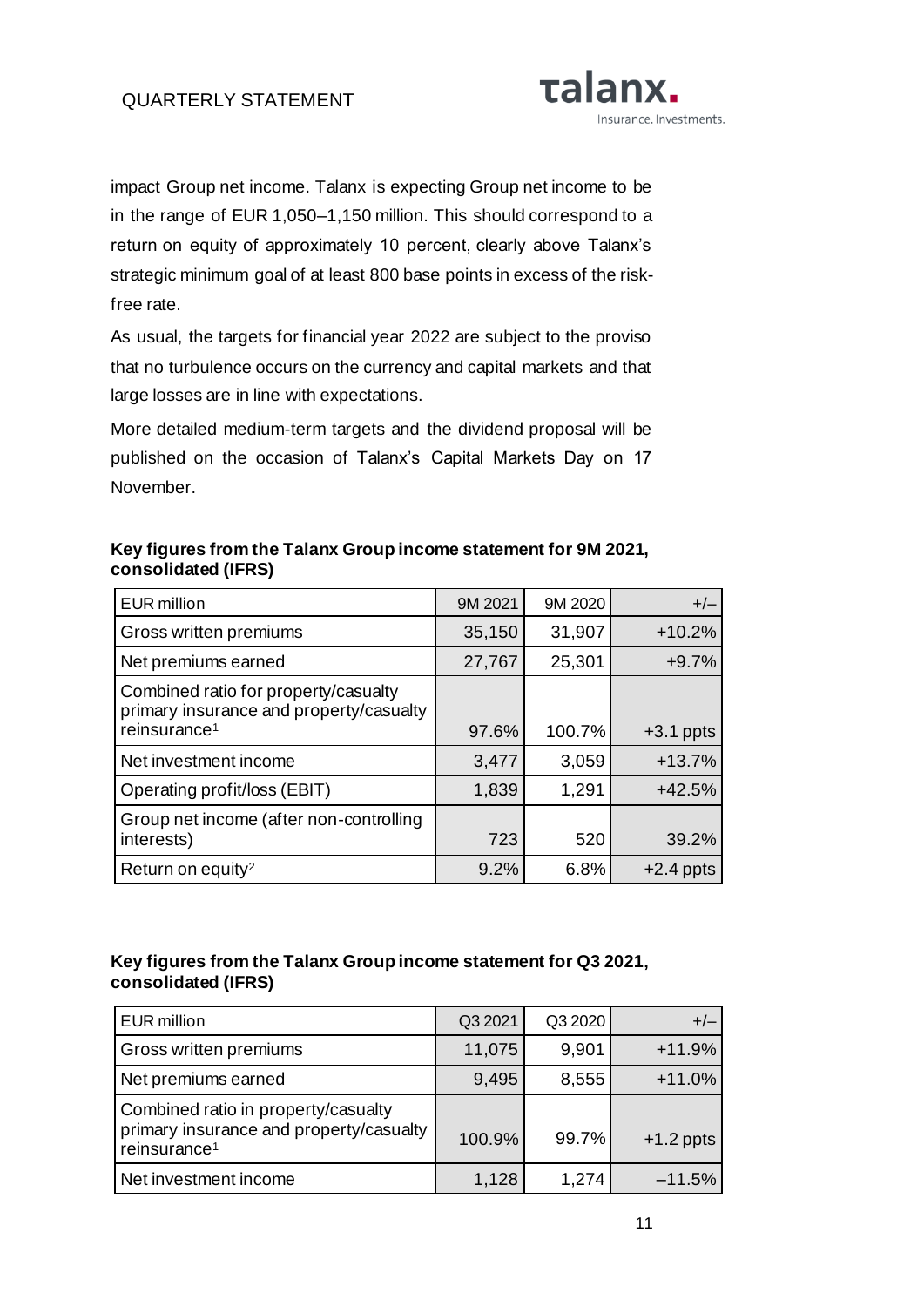

impact Group net income. Talanx is expecting Group net income to be in the range of EUR 1,050–1,150 million. This should correspond to a return on equity of approximately 10 percent, clearly above Talanx's strategic minimum goal of at least 800 base points in excess of the riskfree rate.

As usual, the targets for financial year 2022 are subject to the proviso that no turbulence occurs on the currency and capital markets and that large losses are in line with expectations.

More detailed medium-term targets and the dividend proposal will be published on the occasion of Talanx's Capital Markets Day on 17 November.

| <b>EUR</b> million                                                              | 9M 2021 | 9M 2020 | $+/-$       |
|---------------------------------------------------------------------------------|---------|---------|-------------|
| Gross written premiums                                                          | 35,150  | 31,907  | $+10.2%$    |
| Net premiums earned                                                             | 27,767  | 25,301  | $+9.7%$     |
| Combined ratio for property/casualty<br>primary insurance and property/casualty |         |         |             |
| reinsurance <sup>1</sup>                                                        | 97.6%   | 100.7%  | $+3.1$ ppts |
| Net investment income                                                           | 3,477   | 3,059   | $+13.7%$    |
| Operating profit/loss (EBIT)                                                    | 1,839   | 1,291   | $+42.5%$    |
| Group net income (after non-controlling                                         |         |         |             |
| interests)                                                                      | 723     | 520     | 39.2%       |
| Return on equity <sup>2</sup>                                                   | 9.2%    | 6.8%    | $+2.4$ ppts |

# **Key figures from the Talanx Group income statement for 9M 2021, consolidated (IFRS)**

# **Key figures from the Talanx Group income statement for Q3 2021, consolidated (IFRS)**

| <b>EUR million</b>                                                                                         | Q3 2021 | Q3 2020 |             |
|------------------------------------------------------------------------------------------------------------|---------|---------|-------------|
| Gross written premiums                                                                                     | 11,075  | 9,901   | $+11.9%$    |
| Net premiums earned                                                                                        | 9,495   | 8,555   | $+11.0%$    |
| Combined ratio in property/casualty<br>primary insurance and property/casualty<br>reinsurance <sup>1</sup> | 100.9%  | 99.7%   | $+1.2$ ppts |
| Net investment income                                                                                      | 1,128   | 1,274   | $-11.5%$    |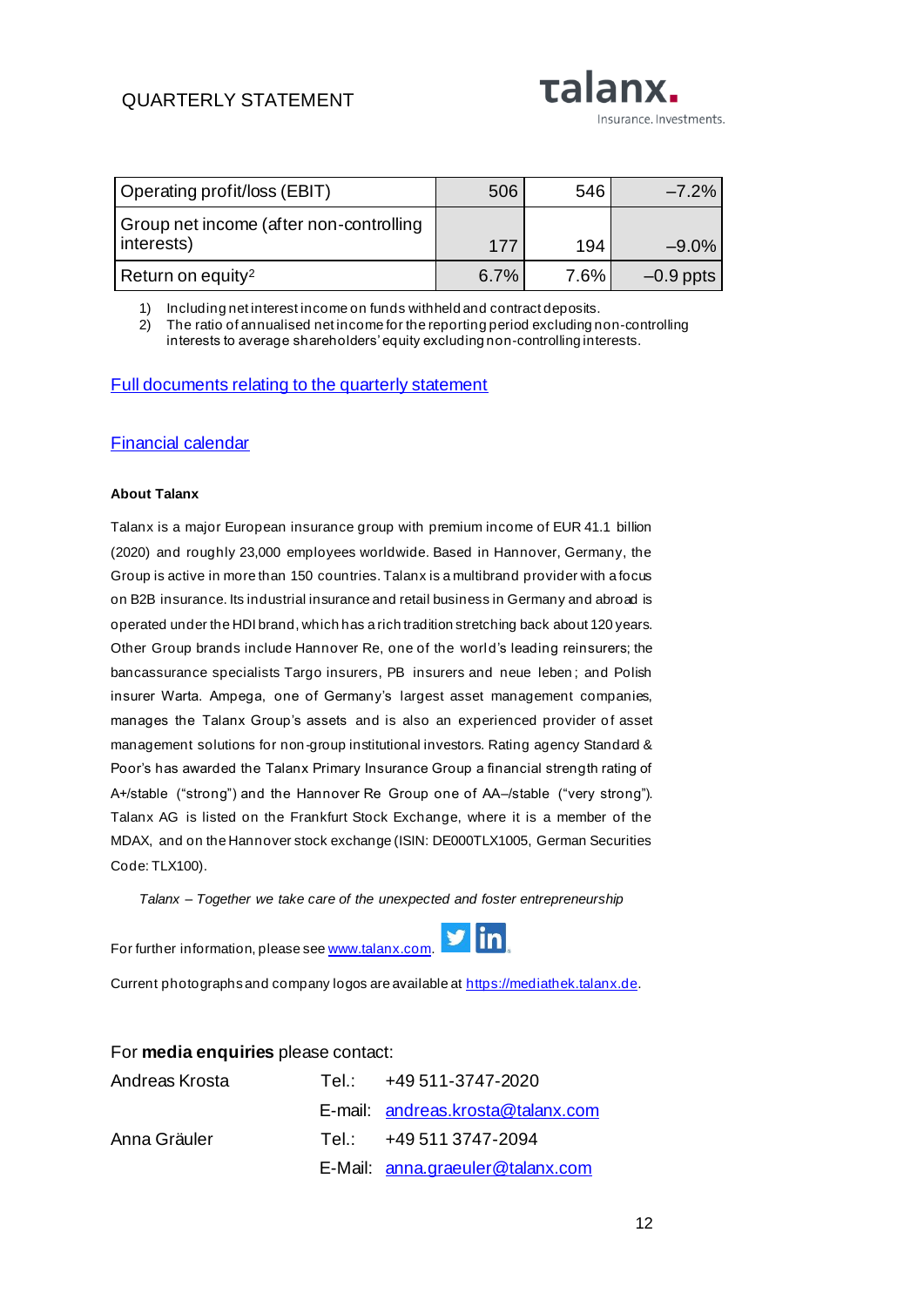# **QUARTERLY STATE**

| QUARTERLY STATEMENT          |     | <b>LUIUIIAI</b> |                         |  |
|------------------------------|-----|-----------------|-------------------------|--|
|                              |     |                 | Insurance. Investments. |  |
|                              |     |                 |                         |  |
|                              |     |                 |                         |  |
| Operating profit/loss (EBIT) | 506 | 546             | $-7.2\%$                |  |
|                              |     |                 |                         |  |

ralany

| Group net income (after non-controlling<br>interests) | 177  | 194     | $-9.0%$     |
|-------------------------------------------------------|------|---------|-------------|
| Return on equity <sup>2</sup>                         | 6.7% | $7.6\%$ | $-0.9$ ppts |

1) Including net interest income on funds withheld and contract deposits.

2) The ratio of annualised net income for the reporting period excluding non-controlling interests to average shareholders' equity excluding non-controlling interests.

#### [Full documents relating to the quarterly statement](https://www.talanx.com/en/investor_relations/reporting/reporting)

#### [Financial calendar](https://www.talanx.com/en/investor_relations/agm_-_events/financial_calendar?year=2021)

#### **About Talanx**

Talanx is a major European insurance group with premium income of EUR 41.1 billion (2020) and roughly 23,000 employees worldwide. Based in Hannover, Germany, the Group is active in more than 150 countries. Talanx is a multibrand provider with a focus on B2B insurance. Its industrial insurance and retail business in Germany and abroad is operated under the HDI brand, which has a rich tradition stretching back about 120 years. Other Group brands include Hannover Re, one of the world's leading reinsurers; the bancassurance specialists Targo insurers, PB insurers and neue leben ; and Polish insurer Warta. Ampega, one of Germany's largest asset management companies, manages the Talanx Group's assets and is also an experienced provider of asset management solutions for non-group institutional investors. Rating agency Standard & Poor's has awarded the Talanx Primary Insurance Group a financial strength rating of A+/stable ("strong") and the Hannover Re Group one of AA–/stable ("very strong"). Talanx AG is listed on the Frankfurt Stock Exchange, where it is a member of the MDAX, and on the Hannover stock exchange (ISIN: DE000TLX1005, German Securities Code: TLX100).

*Talanx – Together we take care of the unexpected and foster entrepreneurship*

For further information, please se[e www.talanx.com.](http://www.talanx.com/)



Current photographs and company logos are available at [https://mediathek.talanx.de](https://mediathek.talanx.de/).

#### For **media enquiries** please contact:

| Andreas Krosta | Tel.: +49 511-3747-2020           |
|----------------|-----------------------------------|
|                | E-mail: andreas.krosta@talanx.com |
| Anna Gräuler   | Tel.: $+495113747-2094$           |
|                | E-Mail: anna.graeuler@talanx.com  |